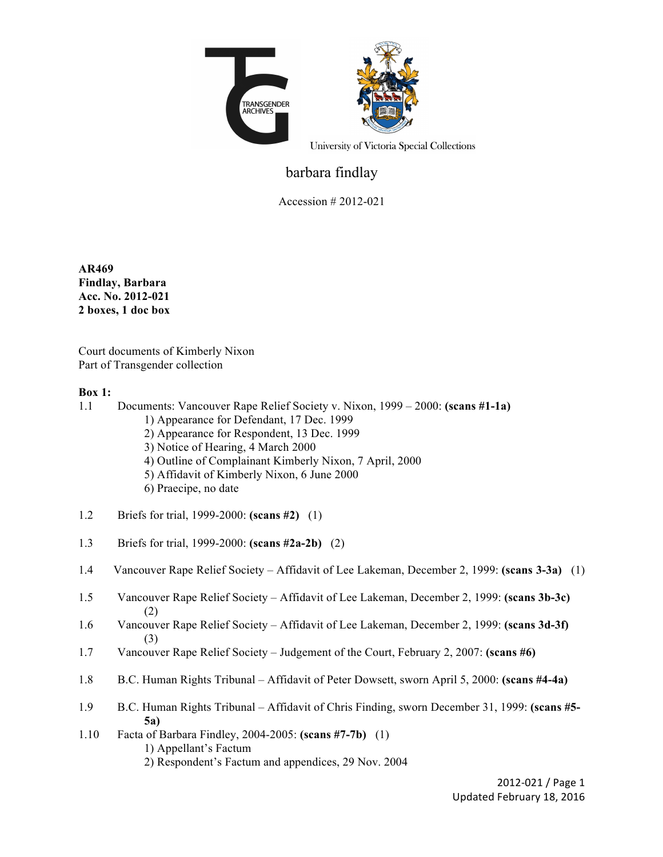

University of Victoria Special Collections

# barbara findlay

Accession # 2012-021

**AR469 Findlay, Barbara Acc. No. 2012-021 2 boxes, 1 doc box**

Court documents of Kimberly Nixon Part of Transgender collection

# **Box 1:**

- 1.1 Documents: Vancouver Rape Relief Society v. Nixon, 1999 2000: **(scans #1-1a)**
	- 1) Appearance for Defendant, 17 Dec. 1999
	- 2) Appearance for Respondent, 13 Dec. 1999
	- 3) Notice of Hearing, 4 March 2000
	- 4) Outline of Complainant Kimberly Nixon, 7 April, 2000
	- 5) Affidavit of Kimberly Nixon, 6 June 2000
	- 6) Praecipe, no date
- 1.2 Briefs for trial, 1999-2000: **(scans #2)** (1)
- 1.3 Briefs for trial, 1999-2000: **(scans #2a-2b)** (2)
- 1.4 Vancouver Rape Relief Society Affidavit of Lee Lakeman, December 2, 1999: **(scans 3-3a)** (1)
- 1.5 Vancouver Rape Relief Society Affidavit of Lee Lakeman, December 2, 1999: **(scans 3b-3c)** (2)
- 1.6 Vancouver Rape Relief Society Affidavit of Lee Lakeman, December 2, 1999: **(scans 3d-3f)** (3)
- 1.7 Vancouver Rape Relief Society Judgement of the Court, February 2, 2007: **(scans #6)**
- 1.8 B.C. Human Rights Tribunal Affidavit of Peter Dowsett, sworn April 5, 2000: **(scans #4-4a)**
- 1.9 B.C. Human Rights Tribunal Affidavit of Chris Finding, sworn December 31, 1999: **(scans #5- 5a)**
- 1.10 Facta of Barbara Findley, 2004-2005: **(scans #7-7b)** (1) 1) Appellant's Factum 2) Respondent's Factum and appendices, 29 Nov. 2004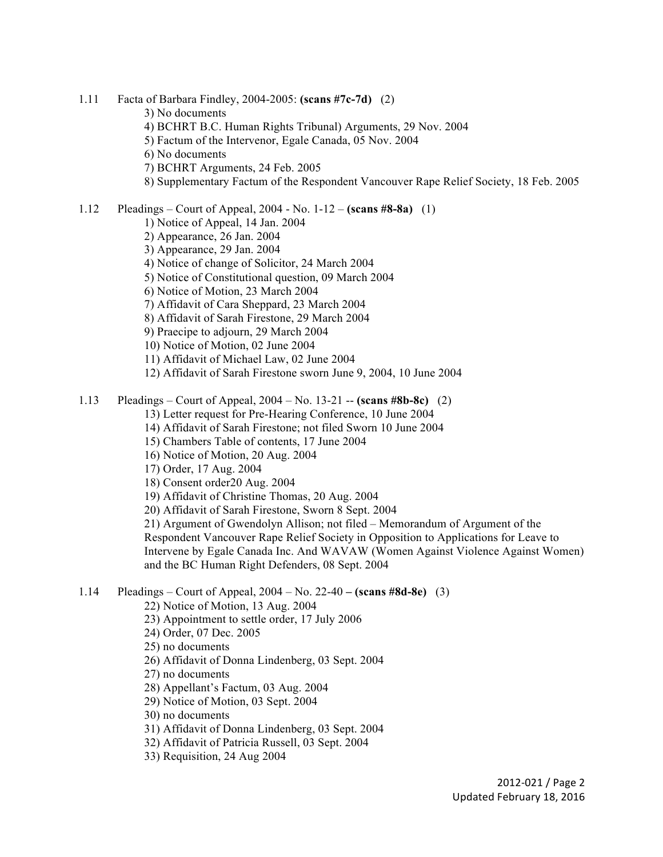- 1.11 Facta of Barbara Findley, 2004-2005: **(scans #7c-7d)** (2)
	- 3) No documents
	- 4) BCHRT B.C. Human Rights Tribunal) Arguments, 29 Nov. 2004
	- 5) Factum of the Intervenor, Egale Canada, 05 Nov. 2004
	- 6) No documents
	- 7) BCHRT Arguments, 24 Feb. 2005
	- 8) Supplementary Factum of the Respondent Vancouver Rape Relief Society, 18 Feb. 2005

# 1.12 Pleadings – Court of Appeal, 2004 - No. 1-12 – **(scans #8-8a)** (1)

- 1) Notice of Appeal, 14 Jan. 2004
- 2) Appearance, 26 Jan. 2004
- 3) Appearance, 29 Jan. 2004
- 4) Notice of change of Solicitor, 24 March 2004
- 5) Notice of Constitutional question, 09 March 2004
- 6) Notice of Motion, 23 March 2004
- 7) Affidavit of Cara Sheppard, 23 March 2004
- 8) Affidavit of Sarah Firestone, 29 March 2004
- 9) Praecipe to adjourn, 29 March 2004
- 10) Notice of Motion, 02 June 2004
- 11) Affidavit of Michael Law, 02 June 2004
- 12) Affidavit of Sarah Firestone sworn June 9, 2004, 10 June 2004
- 1.13 Pleadings Court of Appeal, 2004 No. 13-21 -- **(scans #8b-8c)** (2)
	- 13) Letter request for Pre-Hearing Conference, 10 June 2004
	- 14) Affidavit of Sarah Firestone; not filed Sworn 10 June 2004
	- 15) Chambers Table of contents, 17 June 2004
	- 16) Notice of Motion, 20 Aug. 2004
	- 17) Order, 17 Aug. 2004
	- 18) Consent order20 Aug. 2004
	- 19) Affidavit of Christine Thomas, 20 Aug. 2004
	- 20) Affidavit of Sarah Firestone, Sworn 8 Sept. 2004

21) Argument of Gwendolyn Allison; not filed – Memorandum of Argument of the Respondent Vancouver Rape Relief Society in Opposition to Applications for Leave to Intervene by Egale Canada Inc. And WAVAW (Women Against Violence Against Women) and the BC Human Right Defenders, 08 Sept. 2004

- 1.14 Pleadings Court of Appeal, 2004 No. 22-40 **– (scans #8d-8e)** (3)
	- 22) Notice of Motion, 13 Aug. 2004
	- 23) Appointment to settle order, 17 July 2006
	- 24) Order, 07 Dec. 2005
	- 25) no documents
	- 26) Affidavit of Donna Lindenberg, 03 Sept. 2004
	- 27) no documents
	- 28) Appellant's Factum, 03 Aug. 2004
	- 29) Notice of Motion, 03 Sept. 2004
	- 30) no documents
	- 31) Affidavit of Donna Lindenberg, 03 Sept. 2004
	- 32) Affidavit of Patricia Russell, 03 Sept. 2004
	- 33) Requisition, 24 Aug 2004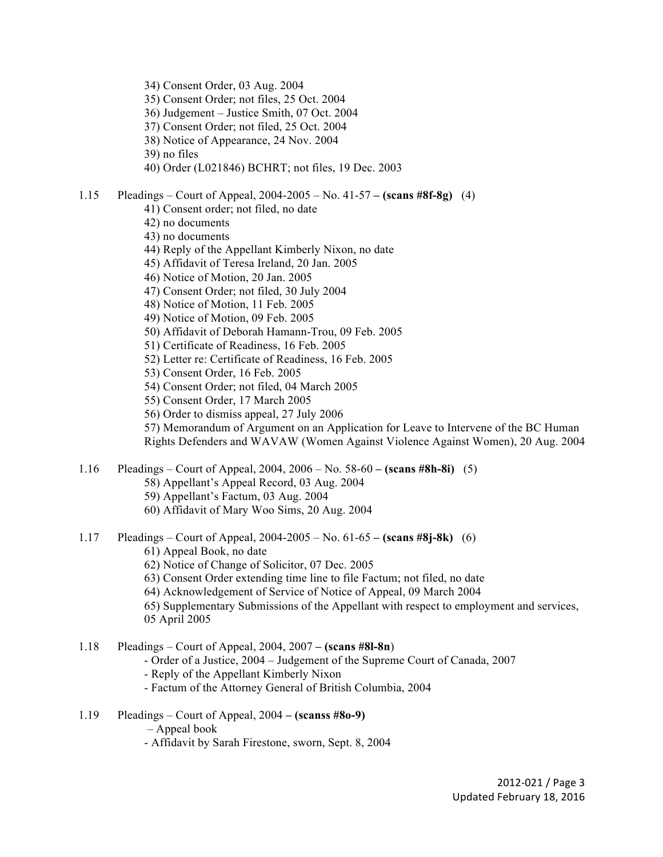- 34) Consent Order, 03 Aug. 2004
- 35) Consent Order; not files, 25 Oct. 2004
- 36) Judgement Justice Smith, 07 Oct. 2004
- 37) Consent Order; not filed, 25 Oct. 2004
- 38) Notice of Appearance, 24 Nov. 2004

39) no files

- 40) Order (L021846) BCHRT; not files, 19 Dec. 2003
- 1.15 Pleadings Court of Appeal, 2004-2005 No. 41-57 **– (scans #8f-8g)** (4)
	- 41) Consent order; not filed, no date
	- 42) no documents
	- 43) no documents
	- 44) Reply of the Appellant Kimberly Nixon, no date
	- 45) Affidavit of Teresa Ireland, 20 Jan. 2005
	- 46) Notice of Motion, 20 Jan. 2005
	- 47) Consent Order; not filed, 30 July 2004
	- 48) Notice of Motion, 11 Feb. 2005
	- 49) Notice of Motion, 09 Feb. 2005
	- 50) Affidavit of Deborah Hamann-Trou, 09 Feb. 2005
	- 51) Certificate of Readiness, 16 Feb. 2005
	- 52) Letter re: Certificate of Readiness, 16 Feb. 2005
	- 53) Consent Order, 16 Feb. 2005
	- 54) Consent Order; not filed, 04 March 2005
	- 55) Consent Order, 17 March 2005
	- 56) Order to dismiss appeal, 27 July 2006

57) Memorandum of Argument on an Application for Leave to Intervene of the BC Human Rights Defenders and WAVAW (Women Against Violence Against Women), 20 Aug. 2004

- 1.16 Pleadings Court of Appeal, 2004, 2006 No. 58-60 **– (scans #8h-8i)** (5)
	- 58) Appellant's Appeal Record, 03 Aug. 2004
	- 59) Appellant's Factum, 03 Aug. 2004
	- 60) Affidavit of Mary Woo Sims, 20 Aug. 2004
- 1.17 Pleadings Court of Appeal, 2004-2005 No. 61-65 **– (scans #8j-8k)** (6)
	- 61) Appeal Book, no date
	- 62) Notice of Change of Solicitor, 07 Dec. 2005
	- 63) Consent Order extending time line to file Factum; not filed, no date
	- 64) Acknowledgement of Service of Notice of Appeal, 09 March 2004
	- 65) Supplementary Submissions of the Appellant with respect to employment and services, 05 April 2005
- 1.18 Pleadings Court of Appeal, 2004, 2007 **– (scans #8l-8n**)
	- Order of a Justice, 2004 Judgement of the Supreme Court of Canada, 2007
	- Reply of the Appellant Kimberly Nixon
	- Factum of the Attorney General of British Columbia, 2004
- 1.19 Pleadings Court of Appeal, 2004 **– (scanss #8o-9)**
	- Appeal book
	- Affidavit by Sarah Firestone, sworn, Sept. 8, 2004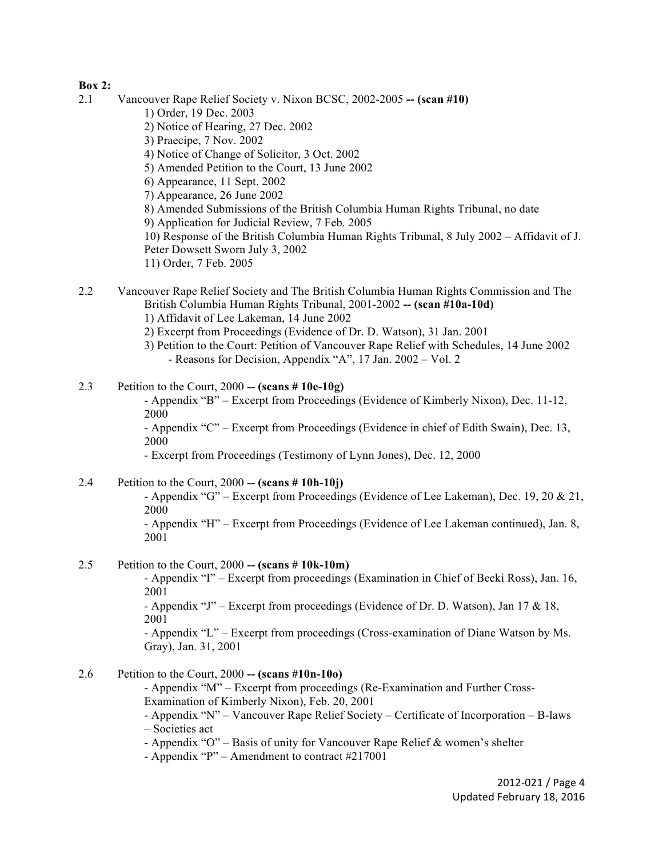# **Box 2:**

- 2.1 Vancouver Rape Relief Society v. Nixon BCSC, 2002-2005 **-- (scan #10)**
	- 1) Order, 19 Dec. 2003
	- 2) Notice of Hearing, 27 Dec. 2002
	- 3) Praecipe, 7 Nov. 2002
	- 4) Notice of Change of Solicitor, 3 Oct. 2002
	- 5) Amended Petition to the Court, 13 June 2002
	- 6) Appearance, 11 Sept. 2002
	- 7) Appearance, 26 June 2002
	- 8) Amended Submissions of the British Columbia Human Rights Tribunal, no date
	- 9) Application for Judicial Review, 7 Feb. 2005

10) Response of the British Columbia Human Rights Tribunal, 8 July 2002 – Affidavit of J. Peter Dowsett Sworn July 3, 2002

- 11) Order, 7 Feb. 2005
- 2.2 Vancouver Rape Relief Society and The British Columbia Human Rights Commission and The British Columbia Human Rights Tribunal, 2001-2002 **-- (scan #10a-10d)**
	- 1) Affidavit of Lee Lakeman, 14 June 2002
	- 2) Excerpt from Proceedings (Evidence of Dr. D. Watson), 31 Jan. 2001
	- 3) Petition to the Court: Petition of Vancouver Rape Relief with Schedules, 14 June 2002 - Reasons for Decision, Appendix "A", 17 Jan. 2002 – Vol. 2

# 2.3 Petition to the Court, 2000 **-- (scans # 10e-10g)**

- Appendix "B" – Excerpt from Proceedings (Evidence of Kimberly Nixon), Dec. 11-12, 2000

- Appendix "C" – Excerpt from Proceedings (Evidence in chief of Edith Swain), Dec. 13, 2000

- Excerpt from Proceedings (Testimony of Lynn Jones), Dec. 12, 2000

2.4 Petition to the Court, 2000 **-- (scans # 10h-10j)**

- Appendix "G" – Excerpt from Proceedings (Evidence of Lee Lakeman), Dec. 19, 20 & 21, 2000

- Appendix "H" – Excerpt from Proceedings (Evidence of Lee Lakeman continued), Jan. 8, 2001

2.5 Petition to the Court, 2000 **-- (scans # 10k-10m)**

- Appendix "I" – Excerpt from proceedings (Examination in Chief of Becki Ross), Jan. 16, 2001

- Appendix "J" – Excerpt from proceedings (Evidence of Dr. D. Watson), Jan 17 & 18, 2001

- Appendix "L" – Excerpt from proceedings (Cross-examination of Diane Watson by Ms. Gray), Jan. 31, 2001

2.6 Petition to the Court, 2000 **-- (scans #10n-10o)**

- Appendix "M" – Excerpt from proceedings (Re-Examination and Further Cross-Examination of Kimberly Nixon), Feb. 20, 2001

- Appendix "N" – Vancouver Rape Relief Society – Certificate of Incorporation – B-laws – Societies act

- Appendix "O" Basis of unity for Vancouver Rape Relief & women's shelter
- Appendix "P" Amendment to contract #217001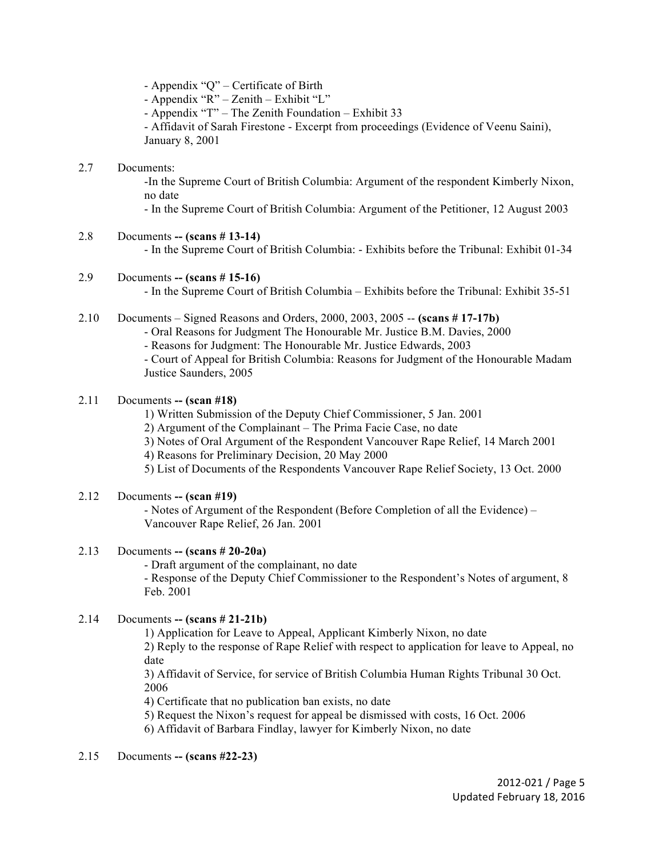- Appendix "Q" Certificate of Birth
- Appendix "R" Zenith Exhibit "L"
- Appendix "T" The Zenith Foundation Exhibit 33

- Affidavit of Sarah Firestone - Excerpt from proceedings (Evidence of Veenu Saini), January 8, 2001

# 2.7 Documents:

-In the Supreme Court of British Columbia: Argument of the respondent Kimberly Nixon, no date

- In the Supreme Court of British Columbia: Argument of the Petitioner, 12 August 2003

2.8 Documents **-- (scans # 13-14)**

- In the Supreme Court of British Columbia: - Exhibits before the Tribunal: Exhibit 01-34

#### 2.9 Documents **-- (scans # 15-16)**

- In the Supreme Court of British Columbia – Exhibits before the Tribunal: Exhibit 35-51

- 2.10 Documents Signed Reasons and Orders, 2000, 2003, 2005 -- **(scans # 17-17b)**
	- Oral Reasons for Judgment The Honourable Mr. Justice B.M. Davies, 2000
	- Reasons for Judgment: The Honourable Mr. Justice Edwards, 2003

- Court of Appeal for British Columbia: Reasons for Judgment of the Honourable Madam Justice Saunders, 2005

## 2.11 Documents **-- (scan #18)**

- 1) Written Submission of the Deputy Chief Commissioner, 5 Jan. 2001
- 2) Argument of the Complainant The Prima Facie Case, no date
- 3) Notes of Oral Argument of the Respondent Vancouver Rape Relief, 14 March 2001
- 4) Reasons for Preliminary Decision, 20 May 2000
- 5) List of Documents of the Respondents Vancouver Rape Relief Society, 13 Oct. 2000

# 2.12 Documents **-- (scan #19)**

- Notes of Argument of the Respondent (Before Completion of all the Evidence) – Vancouver Rape Relief, 26 Jan. 2001

## 2.13 Documents **-- (scans # 20-20a)**

- Draft argument of the complainant, no date

- Response of the Deputy Chief Commissioner to the Respondent's Notes of argument, 8 Feb. 2001

## 2.14 Documents **-- (scans # 21-21b)**

1) Application for Leave to Appeal, Applicant Kimberly Nixon, no date

2) Reply to the response of Rape Relief with respect to application for leave to Appeal, no date

3) Affidavit of Service, for service of British Columbia Human Rights Tribunal 30 Oct. 2006

4) Certificate that no publication ban exists, no date

5) Request the Nixon's request for appeal be dismissed with costs, 16 Oct. 2006

6) Affidavit of Barbara Findlay, lawyer for Kimberly Nixon, no date

# 2.15 Documents **-- (scans #22-23)**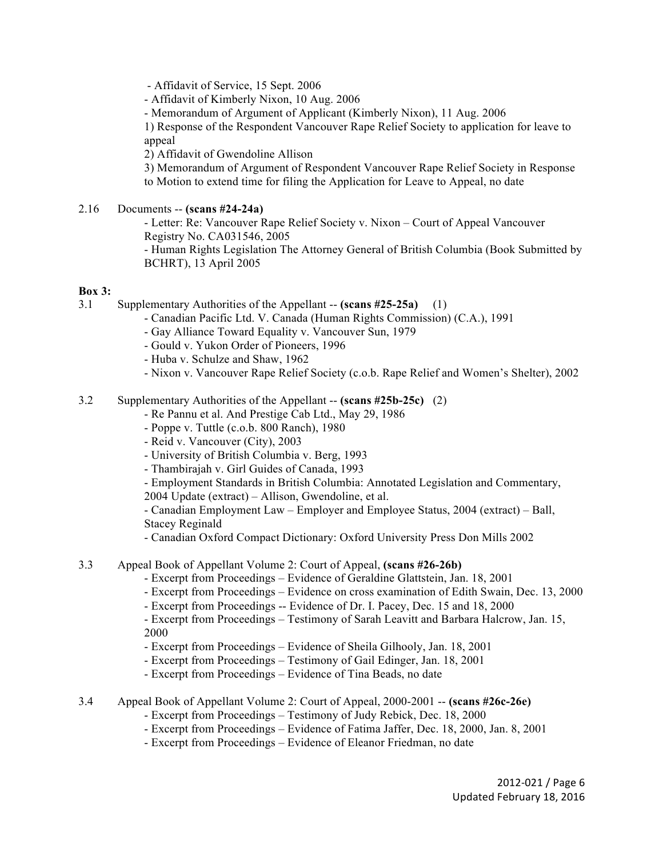- Affidavit of Service, 15 Sept. 2006

- Affidavit of Kimberly Nixon, 10 Aug. 2006

- Memorandum of Argument of Applicant (Kimberly Nixon), 11 Aug. 2006

1) Response of the Respondent Vancouver Rape Relief Society to application for leave to appeal

2) Affidavit of Gwendoline Allison

3) Memorandum of Argument of Respondent Vancouver Rape Relief Society in Response to Motion to extend time for filing the Application for Leave to Appeal, no date

## 2.16 Documents -- **(scans #24-24a)**

- Letter: Re: Vancouver Rape Relief Society v. Nixon – Court of Appeal Vancouver Registry No. CA031546, 2005

- Human Rights Legislation The Attorney General of British Columbia (Book Submitted by BCHRT), 13 April 2005

## **Box 3:**

3.1 Supplementary Authorities of the Appellant -- **(scans #25-25a)** (1)

- Canadian Pacific Ltd. V. Canada (Human Rights Commission) (C.A.), 1991
	- Gay Alliance Toward Equality v. Vancouver Sun, 1979
	- Gould v. Yukon Order of Pioneers, 1996
	- Huba v. Schulze and Shaw, 1962
	- Nixon v. Vancouver Rape Relief Society (c.o.b. Rape Relief and Women's Shelter), 2002

# 3.2 Supplementary Authorities of the Appellant -- **(scans #25b-25c)** (2)

- Re Pannu et al. And Prestige Cab Ltd., May 29, 1986
- Poppe v. Tuttle (c.o.b. 800 Ranch), 1980
- Reid v. Vancouver (City), 2003
- University of British Columbia v. Berg, 1993
- Thambirajah v. Girl Guides of Canada, 1993
- Employment Standards in British Columbia: Annotated Legislation and Commentary,
- 2004 Update (extract) Allison, Gwendoline, et al.

- Canadian Employment Law – Employer and Employee Status, 2004 (extract) – Ball, Stacey Reginald

- Canadian Oxford Compact Dictionary: Oxford University Press Don Mills 2002
- 3.3 Appeal Book of Appellant Volume 2: Court of Appeal, **(scans #26-26b)**
	- Excerpt from Proceedings Evidence of Geraldine Glattstein, Jan. 18, 2001
	- Excerpt from Proceedings Evidence on cross examination of Edith Swain, Dec. 13, 2000
	- Excerpt from Proceedings -- Evidence of Dr. I. Pacey, Dec. 15 and 18, 2000

- Excerpt from Proceedings – Testimony of Sarah Leavitt and Barbara Halcrow, Jan. 15, 2000

- Excerpt from Proceedings Evidence of Sheila Gilhooly, Jan. 18, 2001
- Excerpt from Proceedings Testimony of Gail Edinger, Jan. 18, 2001
- Excerpt from Proceedings Evidence of Tina Beads, no date
- 3.4 Appeal Book of Appellant Volume 2: Court of Appeal, 2000-2001 -- **(scans #26c-26e)**
	- Excerpt from Proceedings Testimony of Judy Rebick, Dec. 18, 2000
	- Excerpt from Proceedings Evidence of Fatima Jaffer, Dec. 18, 2000, Jan. 8, 2001
	- Excerpt from Proceedings Evidence of Eleanor Friedman, no date